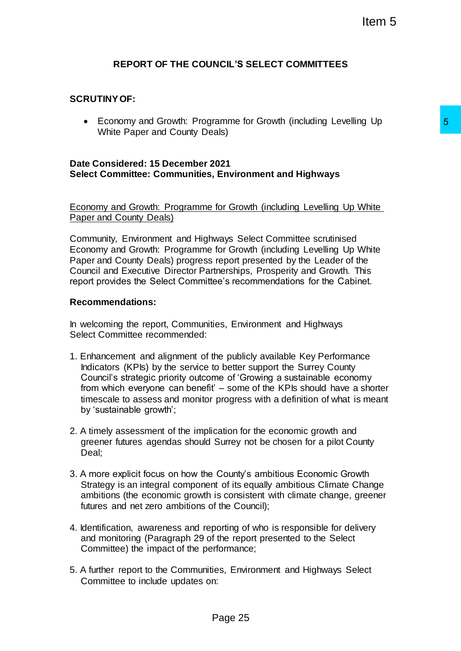# **REPORT OF THE COUNCIL'S SELECT COMMITTEES**

# **SCRUTINY OF:**

 Economy and Growth: Programme for Growth (including Levelling Up White Paper and County Deals)

### **Date Considered: 15 December 2021 Select Committee: Communities, Environment and Highways**

Economy and Growth: Programme for Growth (including Levelling Up White Paper and County Deals)

Community, Environment and Highways Select Committee scrutinised Economy and Growth: Programme for Growth (including Levelling Up White Paper and County Deals) progress report presented by the Leader of the Council and Executive Director Partnerships, Prosperity and Growth. This report provides the Select Committee's recommendations for the Cabinet.

### **Recommendations:**

In welcoming the report, Communities, Environment and Highways Select Committee recommended:

- 1. Enhancement and alignment of the publicly available Key Performance Indicators (KPIs) by the service to better support the Surrey County Council's strategic priority outcome of 'Growing a sustainable economy from which everyone can benefit' – some of the KPIs should have a shorter timescale to assess and monitor progress with a definition of what is meant by 'sustainable growth'; ramme for Growth (including Levelling Up<br>
2021<br>
2021<br>
2021<br>
2021<br>
2021<br>
2021<br>
2021<br>
2021<br>
2021<br>
2021<br>
2021<br>
2021<br>
2021<br>
2021<br>
2021<br>
2021<br>
2021<br>
2021<br>
2021<br>
2021<br>
2020<br>
2020<br>
2020<br>
2020<br>
2020<br>
2020<br>
2020<br>
2020<br>
2020<br>
2020<br>
- 2. A timely assessment of the implication for the economic growth and greener futures agendas should Surrey not be chosen for a pilot County Deal;
- 3. A more explicit focus on how the County's ambitious Economic Growth Strategy is an integral component of its equally ambitious Climate Change ambitions (the economic growth is consistent with climate change, greener futures and net zero ambitions of the Council);
- 4. Identification, awareness and reporting of who is responsible for delivery and monitoring (Paragraph 29 of the report presented to the Select Committee) the impact of the performance;
- 5. A further report to the Communities, Environment and Highways Select Committee to include updates on: